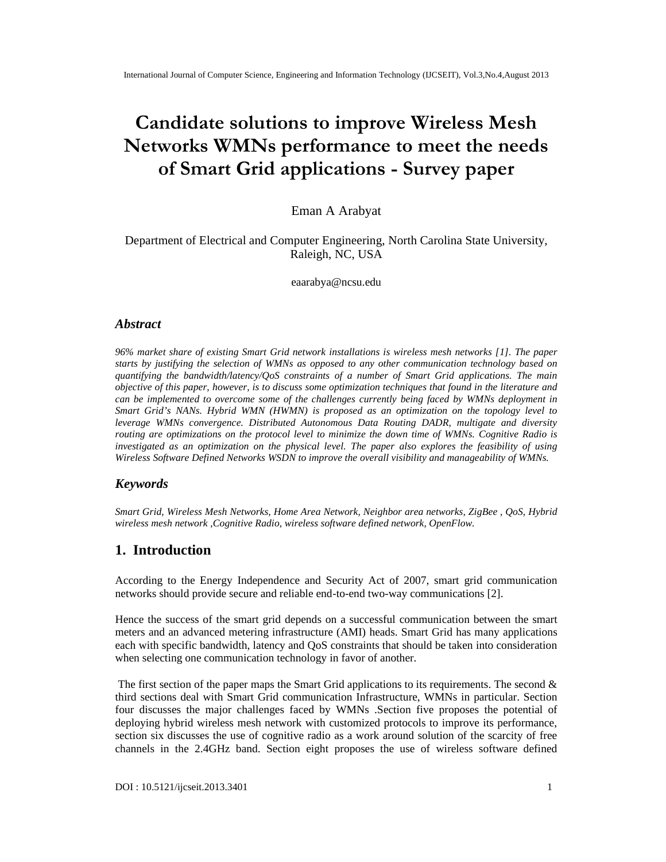# Candidate solutions to improve Wi Networks WMNs performance to mee of Smart Grid appSluicration prosper

# Eman A Arabyat

#### Department of Electrical and Computer Engine enthorth Carolina State University, Raleigh, NC, USA

[eaarabya@ncsu.e](mailto:eaarabya@ncsu.edu)du

## **Abstract**

96% market share of existing Smart Grid network installations is wireless mesh net Nor Khef paper starts by justifying he selection of WMNs as opposed to any other communication decly based on quantifying the bandwidth/latency/QoS constraints of a number of Smart Grid applications. The main objective of this paper, however, is to discuss some optimization techniques that found in the laterature can be implemented to overcome of the challenges currently being faced by N& M deployment in Smart Grid€s NANsHybrid WMN (HWMN) is proposed as an optimization on the topology level to leverage WMNs convergence. Distributed Autonomous Data Routing DADR, multigate and diversity routing are optimizations on the protocol level to minimize the down time of WWW stitive Radio is investigatedas an optimization on the physical level apper alsoexplores the feasibility of using Wireless Software Defined butworks WSDN to improve the overall visibility and manageability of WMNs.

## Keywords

Smart Grid, Wireless Mesh Networks, Home Area Network, Neighbor area networks, ZigBeblytQidS, wireless mesh network cognitive Radiowireless staware defined network, OpenFlow.

## 1. Introduction

According to the Energy Independence and Security Act of 2007, smart grid communication networks should provide secure and reliable tendend two way communication $[2]$ .

Hence the success of the smart grid depends on a successful comonumbient ween the smart meters and an advanced metering infrastructured heads. Smart Grid has many applications each with specific bandwidth, latency and QoS constraints that should be taken into consideration when selecting one communication technologiavor of another.

The first section of the paper maps the Smart Grid applications to its requirements. The second & third sections deal with Smart Grid communication Infrastructure, WMNs in particular. Section four discusses the major challenges the wind Section five proposes the potential of deploying hybrid wireless mesh network with customized protocols to improve its performance, section six discusses the use of cognitive radio as a work around solution of the scarcity of free channels in the 2.4GHz band. Section eight proposes the use of wireless software defined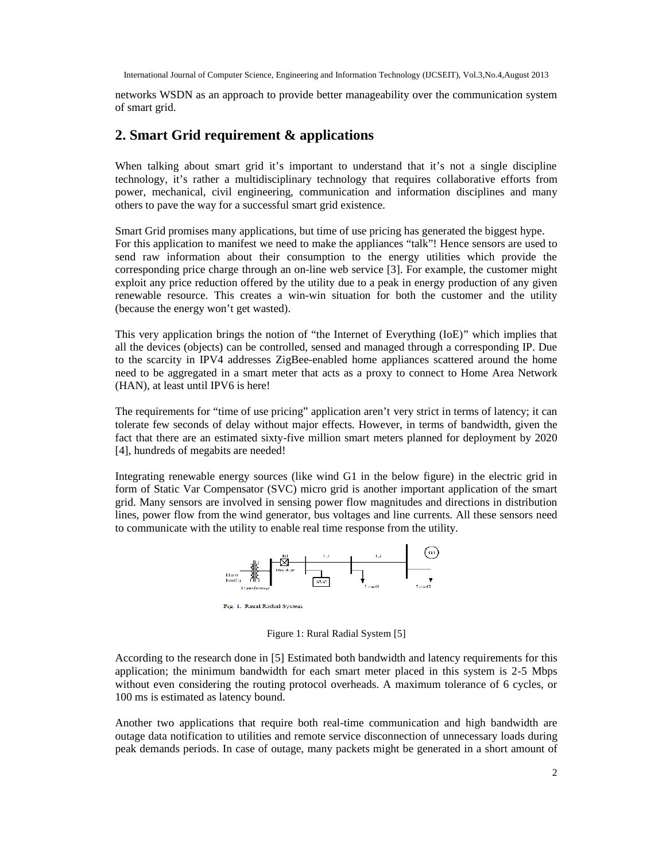networks WSDN as an approach to provide better manageability over the communication system of smart grid.

#### **2. Smart Grid requirement & applications**

When talking about smart grid it's important to understand that it's not a single discipline technology, it's rather a multidisciplinary technology that requires collaborative efforts from power, mechanical, civil engineering, communication and information disciplines and many others to pave the way for a successful smart grid existence.

Smart Grid promises many applications, but time of use pricing has generated the biggest hype. For this application to manifest we need to make the appliances "talk"! Hence sensors are used to send raw information about their consumption to the energy utilities which provide the corresponding price charge through an on-line web service [3]. For example, the customer might exploit any price reduction offered by the utility due to a peak in energy production of any given renewable resource. This creates a win-win situation for both the customer and the utility (because the energy won't get wasted).

This very application brings the notion of "the Internet of Everything (IoE)" which implies that all the devices (objects) can be controlled, sensed and managed through a corresponding IP. Due to the scarcity in IPV4 addresses ZigBee-enabled home appliances scattered around the home need to be aggregated in a smart meter that acts as a proxy to connect to Home Area Network (HAN), at least until IPV6 is here!

The requirements for "time of use pricing" application aren't very strict in terms of latency; it can tolerate few seconds of delay without major effects. However, in terms of bandwidth, given the fact that there are an estimated sixty-five million smart meters planned for deployment by 2020 [4], hundreds of megabits are needed!

Integrating renewable energy sources (like wind G1 in the below figure) in the electric grid in form of Static Var Compensator (SVC) micro grid is another important application of the smart grid. Many sensors are involved in sensing power flow magnitudes and directions in distribution lines, power flow from the wind generator, bus voltages and line currents. All these sensors need to communicate with the utility to enable real time response from the utility.



Figure 1: Rural Radial System [5]

According to the research done in [5] Estimated both bandwidth and latency requirements for this application; the minimum bandwidth for each smart meter placed in this system is 2-5 Mbps without even considering the routing protocol overheads. A maximum tolerance of 6 cycles, or 100 ms is estimated as latency bound.

Another two applications that require both real-time communication and high bandwidth are outage data notification to utilities and remote service disconnection of unnecessary loads during peak demands periods. In case of outage, many packets might be generated in a short amount of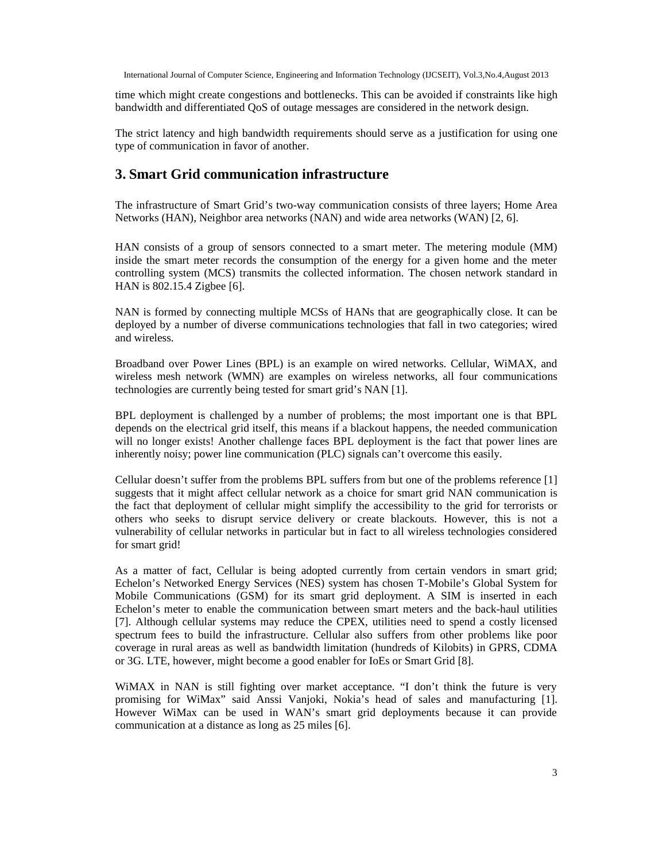time which might create congestions and bottlenecks. This can be avoided if constraints like high bandwidth and differentiated QoS of outage messages are considered in the network design.

The strict latency and high bandwidth requirements should serve as a justification for using one type of communication in favor of another.

#### **3. Smart Grid communication infrastructure**

The infrastructure of Smart Grid's two-way communication consists of three layers; Home Area Networks (HAN), Neighbor area networks (NAN) and wide area networks (WAN) [2, 6].

HAN consists of a group of sensors connected to a smart meter. The metering module (MM) inside the smart meter records the consumption of the energy for a given home and the meter controlling system (MCS) transmits the collected information. The chosen network standard in HAN is 802.15.4 Zigbee [6].

NAN is formed by connecting multiple MCSs of HANs that are geographically close. It can be deployed by a number of diverse communications technologies that fall in two categories; wired and wireless.

Broadband over Power Lines (BPL) is an example on wired networks. Cellular, WiMAX, and wireless mesh network (WMN) are examples on wireless networks, all four communications technologies are currently being tested for smart grid's NAN [1].

BPL deployment is challenged by a number of problems; the most important one is that BPL depends on the electrical grid itself, this means if a blackout happens, the needed communication will no longer exists! Another challenge faces BPL deployment is the fact that power lines are inherently noisy; power line communication (PLC) signals can't overcome this easily.

Cellular doesn't suffer from the problems BPL suffers from but one of the problems reference [1] suggests that it might affect cellular network as a choice for smart grid NAN communication is the fact that deployment of cellular might simplify the accessibility to the grid for terrorists or others who seeks to disrupt service delivery or create blackouts. However, this is not a vulnerability of cellular networks in particular but in fact to all wireless technologies considered for smart grid!

As a matter of fact, Cellular is being adopted currently from certain vendors in smart grid; Echelon's Networked Energy Services (NES) system has chosen T-Mobile's Global System for Mobile Communications (GSM) for its smart grid deployment. A SIM is inserted in each Echelon's meter to enable the communication between smart meters and the back-haul utilities [7]. Although cellular systems may reduce the CPEX, utilities need to spend a costly licensed spectrum fees to build the infrastructure. Cellular also suffers from other problems like poor coverage in rural areas as well as bandwidth limitation (hundreds of Kilobits) in GPRS, CDMA or 3G. LTE, however, might become a good enabler for IoEs or Smart Grid [8].

WiMAX in NAN is still fighting over market acceptance. "I don't think the future is very promising for WiMax" said Anssi Vanjoki, Nokia's head of sales and manufacturing [1]. However WiMax can be used in WAN's smart grid deployments because it can provide communication at a distance as long as 25 miles [6].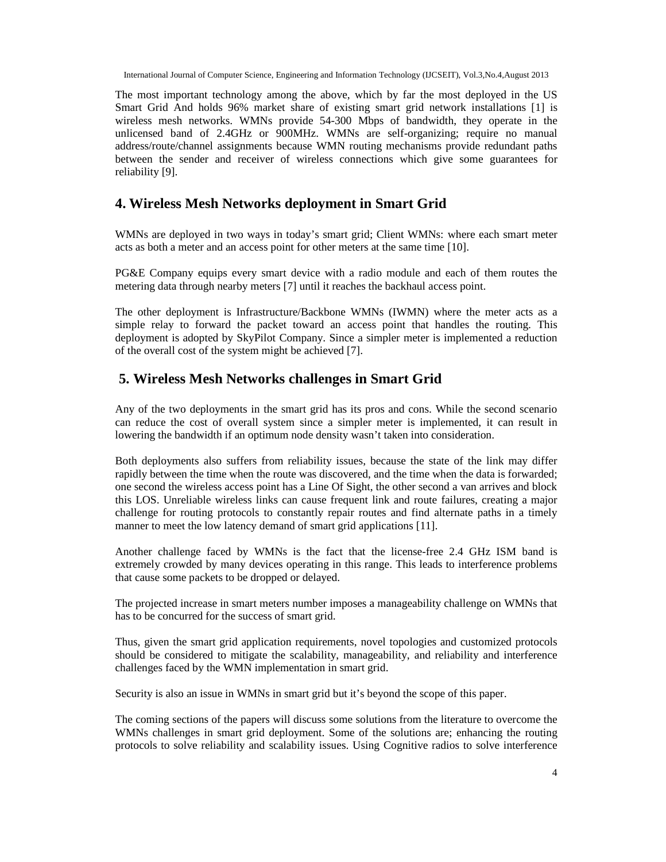The most important technology among the above, which by far the most deployed in the US Smart Grid And holds 96% market share of existing smart grid network installations [1] is wireless mesh networks. WMNs provide 54-300 Mbps of bandwidth, they operate in the unlicensed band of 2.4GHz or 900MHz. WMNs are self-organizing; require no manual address/route/channel assignments because WMN routing mechanisms provide redundant paths between the sender and receiver of wireless connections which give some guarantees for reliability [9].

# **4. Wireless Mesh Networks deployment in Smart Grid**

WMNs are deployed in two ways in today's smart grid; Client WMNs: where each smart meter acts as both a meter and an access point for other meters at the same time [10].

PG&E Company equips every smart device with a radio module and each of them routes the metering data through nearby meters [7] until it reaches the backhaul access point.

The other deployment is Infrastructure/Backbone WMNs (IWMN) where the meter acts as a simple relay to forward the packet toward an access point that handles the routing. This deployment is adopted by SkyPilot Company. Since a simpler meter is implemented a reduction of the overall cost of the system might be achieved [7].

# **5. Wireless Mesh Networks challenges in Smart Grid**

Any of the two deployments in the smart grid has its pros and cons. While the second scenario can reduce the cost of overall system since a simpler meter is implemented, it can result in lowering the bandwidth if an optimum node density wasn't taken into consideration.

Both deployments also suffers from reliability issues, because the state of the link may differ rapidly between the time when the route was discovered, and the time when the data is forwarded; one second the wireless access point has a Line Of Sight, the other second a van arrives and block this LOS. Unreliable wireless links can cause frequent link and route failures, creating a major challenge for routing protocols to constantly repair routes and find alternate paths in a timely manner to meet the low latency demand of smart grid applications [11].

Another challenge faced by WMNs is the fact that the license-free 2.4 GHz ISM band is extremely crowded by many devices operating in this range. This leads to interference problems that cause some packets to be dropped or delayed.

The projected increase in smart meters number imposes a manageability challenge on WMNs that has to be concurred for the success of smart grid.

Thus, given the smart grid application requirements, novel topologies and customized protocols should be considered to mitigate the scalability, manageability, and reliability and interference challenges faced by the WMN implementation in smart grid.

Security is also an issue in WMNs in smart grid but it's beyond the scope of this paper.

The coming sections of the papers will discuss some solutions from the literature to overcome the WMNs challenges in smart grid deployment. Some of the solutions are; enhancing the routing protocols to solve reliability and scalability issues. Using Cognitive radios to solve interference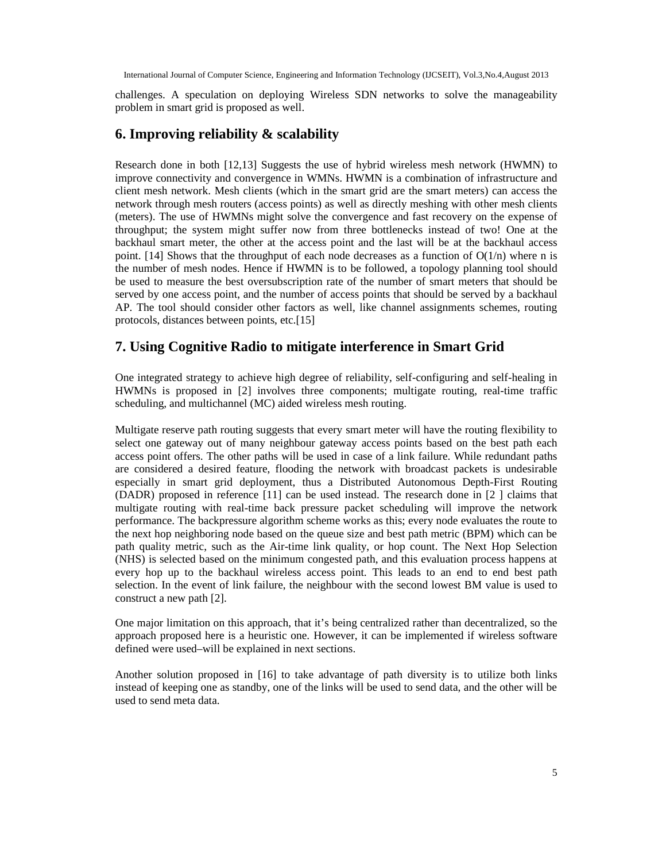challenges. A speculation on deploying Wireless SDN networks to solve the manageability problem in smart grid is proposed as well.

# **6. Improving reliability & scalability**

Research done in both [12,13] Suggests the use of hybrid wireless mesh network (HWMN) to improve connectivity and convergence in WMNs. HWMN is a combination of infrastructure and client mesh network. Mesh clients (which in the smart grid are the smart meters) can access the network through mesh routers (access points) as well as directly meshing with other mesh clients (meters). The use of HWMNs might solve the convergence and fast recovery on the expense of throughput; the system might suffer now from three bottlenecks instead of two! One at the backhaul smart meter, the other at the access point and the last will be at the backhaul access point. [14] Shows that the throughput of each node decreases as a function of  $O(1/n)$  where n is the number of mesh nodes. Hence if HWMN is to be followed, a topology planning tool should be used to measure the best oversubscription rate of the number of smart meters that should be served by one access point, and the number of access points that should be served by a backhaul AP. The tool should consider other factors as well, like channel assignments schemes, routing protocols, distances between points, etc.[15]

#### **7. Using Cognitive Radio to mitigate interference in Smart Grid**

One integrated strategy to achieve high degree of reliability, self-configuring and self-healing in HWMNs is proposed in [2] involves three components; multigate routing, real-time traffic scheduling, and multichannel (MC) aided wireless mesh routing.

Multigate reserve path routing suggests that every smart meter will have the routing flexibility to select one gateway out of many neighbour gateway access points based on the best path each access point offers. The other paths will be used in case of a link failure. While redundant paths are considered a desired feature, flooding the network with broadcast packets is undesirable especially in smart grid deployment, thus a Distributed Autonomous Depth-First Routing (DADR) proposed in reference [11] can be used instead. The research done in [2 ] claims that multigate routing with real-time back pressure packet scheduling will improve the network performance. The backpressure algorithm scheme works as this; every node evaluates the route to the next hop neighboring node based on the queue size and best path metric (BPM) which can be path quality metric, such as the Air-time link quality, or hop count. The Next Hop Selection (NHS) is selected based on the minimum congested path, and this evaluation process happens at every hop up to the backhaul wireless access point. This leads to an end to end best path selection. In the event of link failure, the neighbour with the second lowest BM value is used to construct a new path [2].

One major limitation on this approach, that it's being centralized rather than decentralized, so the approach proposed here is a heuristic one. However, it can be implemented if wireless software defined were used–will be explained in next sections.

Another solution proposed in [16] to take advantage of path diversity is to utilize both links instead of keeping one as standby, one of the links will be used to send data, and the other will be used to send meta data.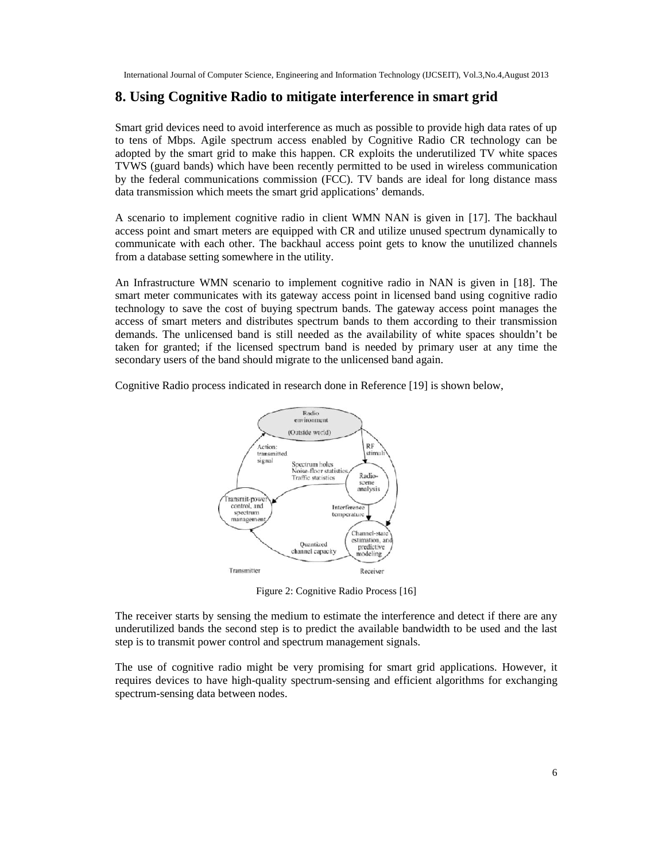# **8. Using Cognitive Radio to mitigate interference in smart grid**

Smart grid devices need to avoid interference as much as possible to provide high data rates of up to tens of Mbps. Agile spectrum access enabled by Cognitive Radio CR technology can be adopted by the smart grid to make this happen. CR exploits the underutilized TV white spaces TVWS (guard bands) which have been recently permitted to be used in wireless communication by the federal communications commission (FCC). TV bands are ideal for long distance mass data transmission which meets the smart grid applications' demands.

A scenario to implement cognitive radio in client WMN NAN is given in [17]. The backhaul access point and smart meters are equipped with CR and utilize unused spectrum dynamically to communicate with each other. The backhaul access point gets to know the unutilized channels from a database setting somewhere in the utility.

An Infrastructure WMN scenario to implement cognitive radio in NAN is given in [18]. The smart meter communicates with its gateway access point in licensed band using cognitive radio technology to save the cost of buying spectrum bands. The gateway access point manages the access of smart meters and distributes spectrum bands to them according to their transmission demands. The unlicensed band is still needed as the availability of white spaces shouldn't be taken for granted; if the licensed spectrum band is needed by primary user at any time the secondary users of the band should migrate to the unlicensed band again.

Cognitive Radio process indicated in research done in Reference [19] is shown below,



Figure 2: Cognitive Radio Process [16]

The receiver starts by sensing the medium to estimate the interference and detect if there are any underutilized bands the second step is to predict the available bandwidth to be used and the last step is to transmit power control and spectrum management signals.

The use of cognitive radio might be very promising for smart grid applications. However, it requires devices to have high-quality spectrum-sensing and efficient algorithms for exchanging spectrum-sensing data between nodes.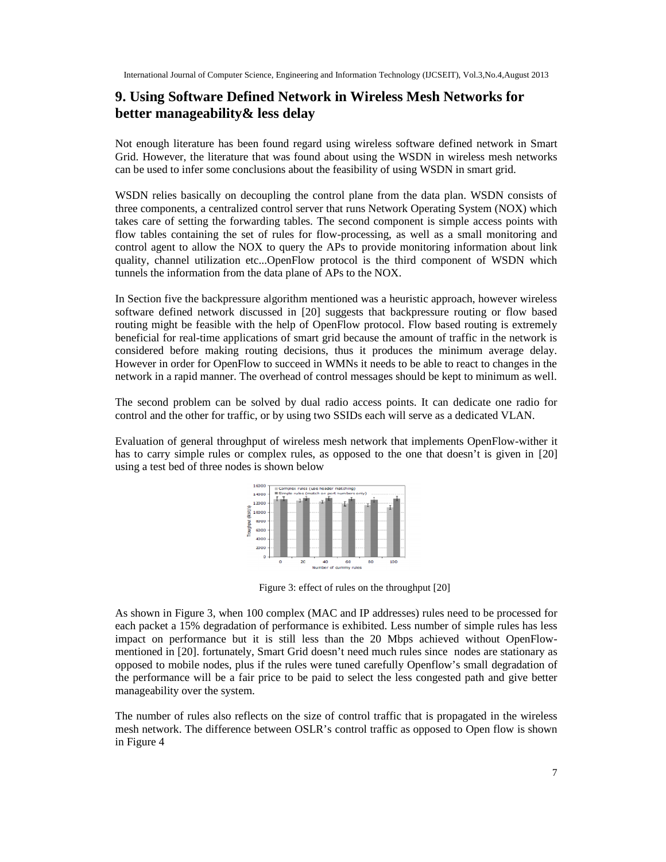# **9. Using Software Defined Network in Wireless Mesh Networks for better manageability& less delay**

Not enough literature has been found regard using wireless software defined network in Smart Grid. However, the literature that was found about using the WSDN in wireless mesh networks can be used to infer some conclusions about the feasibility of using WSDN in smart grid.

WSDN relies basically on decoupling the control plane from the data plan. WSDN consists of three components, a centralized control server that runs Network Operating System (NOX) which takes care of setting the forwarding tables. The second component is simple access points with flow tables containing the set of rules for flow-processing, as well as a small monitoring and control agent to allow the NOX to query the APs to provide monitoring information about link quality, channel utilization etc...OpenFlow protocol is the third component of WSDN which tunnels the information from the data plane of APs to the NOX.

In Section five the backpressure algorithm mentioned was a heuristic approach, however wireless software defined network discussed in [20] suggests that backpressure routing or flow based routing might be feasible with the help of OpenFlow protocol. Flow based routing is extremely beneficial for real-time applications of smart grid because the amount of traffic in the network is considered before making routing decisions, thus it produces the minimum average delay. However in order for OpenFlow to succeed in WMNs it needs to be able to react to changes in the network in a rapid manner. The overhead of control messages should be kept to minimum as well.

The second problem can be solved by dual radio access points. It can dedicate one radio for control and the other for traffic, or by using two SSIDs each will serve as a dedicated VLAN.

Evaluation of general throughput of wireless mesh network that implements OpenFlow-wither it has to carry simple rules or complex rules, as opposed to the one that doesn't is given in [20] using a test bed of three nodes is shown below



Figure 3: effect of rules on the throughput [20]

As shown in Figure 3, when 100 complex (MAC and IP addresses) rules need to be processed for each packet a 15% degradation of performance is exhibited. Less number of simple rules has less impact on performance but it is still less than the 20 Mbps achieved without OpenFlowmentioned in [20]. fortunately, Smart Grid doesn't need much rules since nodes are stationary as opposed to mobile nodes, plus if the rules were tuned carefully Openflow's small degradation of the performance will be a fair price to be paid to select the less congested path and give better manageability over the system.

The number of rules also reflects on the size of control traffic that is propagated in the wireless mesh network. The difference between OSLR's control traffic as opposed to Open flow is shown in Figure 4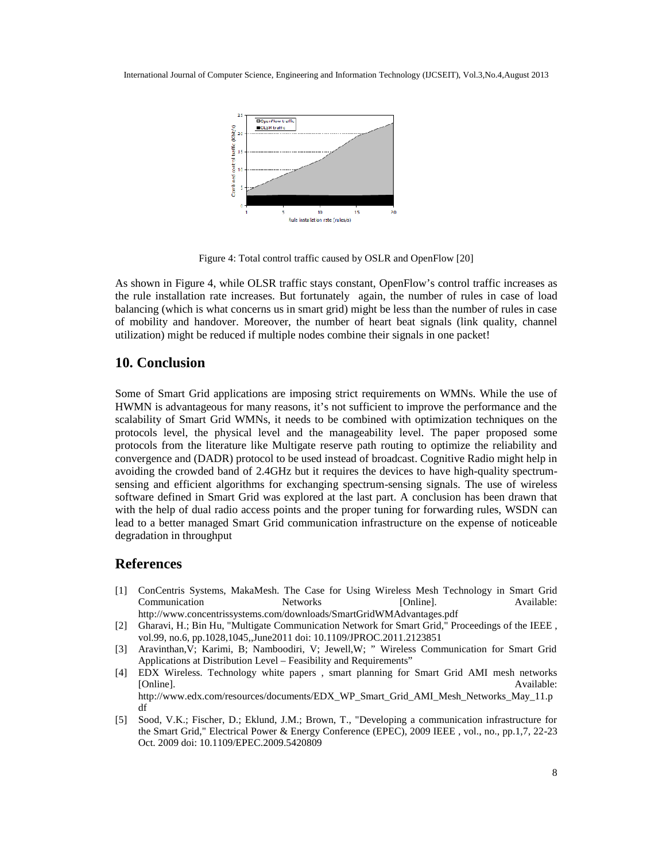#### Figure4: Total control traffic caused by OSLR and OpenFlow [20]

As shown in Figure 4 while OLSR traffic stays constan® pen Flow€sontrol traffic increases as the rule installation rate increase But fortunately again the number of rules in case of load balancing (which is what concerns us in smart grid) might be less than the number of rules in case of mobility and handoverMoreover, the number of heart beat signals (link quality annel utilization) mightbe reduced ifmultiple nodes combine their signals in one packet!

# 10. Conclusion

Some ofSmart Gridapplications are imposing strict requirements on WMNs. While the use of HWMN is advantageous for many reasons, it€s not sufficient to improve the performance and the scalability ofSmart GridWMNs, it needs to be combined with optimization techniques on the protocols level, the physical level and the manageability level. The proposed some protocols from the literature like Multigate reserve path routing to optimize the reliability and convergence and (DADR) protocol to be used died of broadcast. Cognitive Radio might help in avoiding the crowded band @t4GHz but it requires the devices to ave high-quality spectrum sensing and efficient algorithms for exchanging spectromising signalsThe use of wireless software defined in Smart Gridwas explored at the last part. Obnclusion has been drawn that with the help of dual radio access points and the propertient for forwarding rules WSDN can lead to a better manage that Gridcommunication infrastructure on the expense of noticeable degradation in throughput

## **References**

- [1] ConCentris Systems, MakaMesh. The Case for Using Wireless Mesh Technology in Smart Grid Communication Networks [Online]. Available: [http://www.concentrissystems.com/downloads/SmartGridWMAdvantage](http://www.concentrissystems.com/downloads/SmartGridWMAdvantages.pdf)s.pdf
- [2] Gharavi, H.; Bin Hu, "Multigat €ommunication Network for Smart Grid," Proceedings of the IEEE, vol.99, no.6, pp.1028,1045,,June2011 doi: 10.1109/JPROC.2011.2123851
- [3] Aravinthan, V; Karimi, B; Namboodiri, V; Jewell, W; , Wireless Communication for Smart Grid Applications at Distribution Level  $f$  Feasibility and Requirements,
- [4] EDX Wireless. Technology white papers, smart planning for Smart Grid AMI mesh networks<br>[Online]. Available: [Online]. Available: [http://www.edx.com/resources/documents/EDX\\_WP\\_Smart\\_Grid\\_AMI\\_Mesh\\_Networks\\_Ma](http://www.edx.com/resources/documents/EDX_WP_Smart_Grid_AMI_Mesh_Networks_May_11.p)y\_11.p df
- [5] Sood, V.K.; Fscher, D.; Eklund, J.M.; Brown, T., "Developing a communication infrastructure for the Smart Grid," Electrical Power & Energy Conference (EPEC), 2009 IEEE, vol., no., pp-2, 37, 22 Oct. 2009 doi: 10.1109/EPEC.2009.5420809